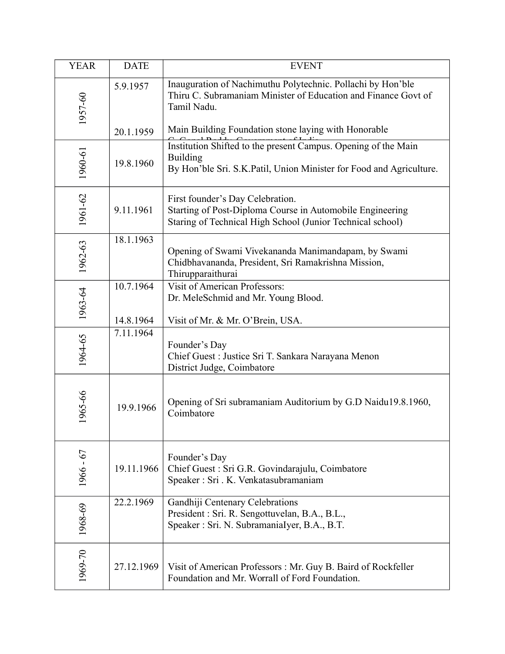| <b>YEAR</b> | <b>DATE</b>            | <b>EVENT</b>                                                                                                                                                |
|-------------|------------------------|-------------------------------------------------------------------------------------------------------------------------------------------------------------|
| 1957-60     | 5.9.1957               | Inauguration of Nachimuthu Polytechnic. Pollachi by Hon'ble<br>Thiru C. Subramaniam Minister of Education and Finance Govt of<br>Tamil Nadu.                |
|             | 20.1.1959              | Main Building Foundation stone laying with Honorable                                                                                                        |
| 1960-61     | 19.8.1960              | Institution Shifted to the present Campus. Opening of the Main<br><b>Building</b><br>By Hon'ble Sri. S.K.Patil, Union Minister for Food and Agriculture.    |
| 1961-62     | 9.11.1961              | First founder's Day Celebration.<br>Starting of Post-Diploma Course in Automobile Engineering<br>Staring of Technical High School (Junior Technical school) |
| 1962-63     | 18.1.1963              | Opening of Swami Vivekananda Manimandapam, by Swami<br>Chidbhavananda, President, Sri Ramakrishna Mission,<br>Thirupparaithurai                             |
| 1963-64     | 10.7.1964              | <b>Visit of American Professors:</b><br>Dr. MeleSchmid and Mr. Young Blood.                                                                                 |
| 1964-65     | 14.8.1964<br>7.11.1964 | Visit of Mr. & Mr. O'Brein, USA.<br>Founder's Day<br>Chief Guest : Justice Sri T. Sankara Narayana Menon<br>District Judge, Coimbatore                      |
| 1965-66     | 19.9.1966              | Opening of Sri subramaniam Auditorium by G.D Naidu19.8.1960,<br>Coimbatore                                                                                  |
| $1966 - 67$ | 19.11.1966             | Founder's Day<br>Chief Guest : Sri G.R. Govindarajulu, Coimbatore<br>Speaker: Sri. K. Venkatasubramaniam                                                    |
| 1968-69     | 22.2.1969              | Gandhiji Centenary Celebrations<br>President : Sri. R. Sengottuvelan, B.A., B.L.,<br>Speaker: Sri. N. SubramaniaIyer, B.A., B.T.                            |
| 1969-70     | 27.12.1969             | Visit of American Professors: Mr. Guy B. Baird of Rockfeller<br>Foundation and Mr. Worrall of Ford Foundation.                                              |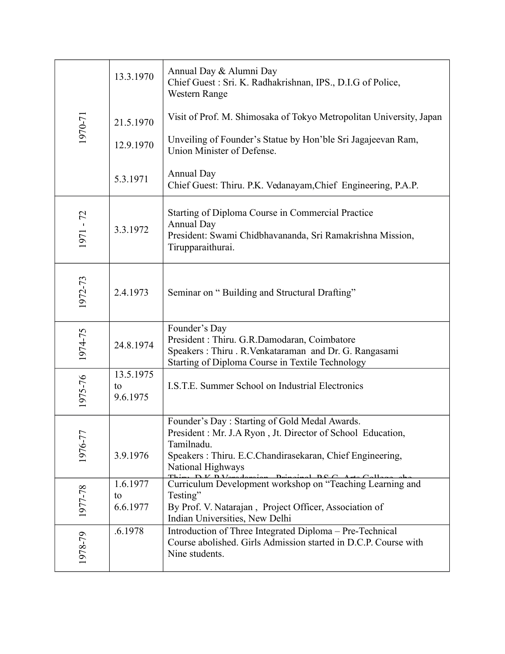| 1970-71   | 13.3.1970                   | Annual Day & Alumni Day<br>Chief Guest: Sri. K. Radhakrishnan, IPS., D.I.G of Police,<br>Western Range                                                                                                     |
|-----------|-----------------------------|------------------------------------------------------------------------------------------------------------------------------------------------------------------------------------------------------------|
|           | 21.5.1970                   | Visit of Prof. M. Shimosaka of Tokyo Metropolitan University, Japan                                                                                                                                        |
|           | 12.9.1970                   | Unveiling of Founder's Statue by Hon'ble Sri Jagajeevan Ram,<br>Union Minister of Defense.                                                                                                                 |
|           | 5.3.1971                    | <b>Annual Day</b><br>Chief Guest: Thiru. P.K. Vedanayam, Chief Engineering, P.A.P.                                                                                                                         |
| 1971 - 72 | 3.3.1972                    | Starting of Diploma Course in Commercial Practice<br>Annual Day<br>President: Swami Chidbhavananda, Sri Ramakrishna Mission,<br>Tirupparaithurai.                                                          |
| 1972-73   | 2.4.1973                    | Seminar on "Building and Structural Drafting"                                                                                                                                                              |
| 1974-75   | 24.8.1974                   | Founder's Day<br>President : Thiru. G.R.Damodaran, Coimbatore<br>Speakers: Thiru. R.Venkataraman and Dr. G. Rangasami<br>Starting of Diploma Course in Textile Technology                                  |
| 1975-76   | 13.5.1975<br>to<br>9.6.1975 | I.S.T.E. Summer School on Industrial Electronics                                                                                                                                                           |
| 1976-77   | 3.9.1976                    | Founder's Day: Starting of Gold Medal Awards.<br>President: Mr. J.A Ryon, Jt. Director of School Education,<br>Tamilnadu.<br>Speakers: Thiru. E.C.Chandirasekaran, Chief Engineering,<br>National Highways |
| 1977-78   | 1.6.1977<br>to<br>6.6.1977  | Curriculum Development workshop on "Teaching Learning and<br>Testing"<br>By Prof. V. Natarajan, Project Officer, Association of<br>Indian Universities, New Delhi                                          |
| 1978-79   | .6.1978                     | Introduction of Three Integrated Diploma - Pre-Technical<br>Course abolished. Girls Admission started in D.C.P. Course with<br>Nine students.                                                              |

In all  $\mathcal{L}(\mathcal{L})$  of  $\mathcal{L}(\mathcal{L})$  of  $\mathcal{L}(\mathcal{L})$  of  $\mathcal{L}(\mathcal{L})$  of  $\mathcal{L}(\mathcal{L})$  of  $\mathcal{L}(\mathcal{L})$ 

3.8.1978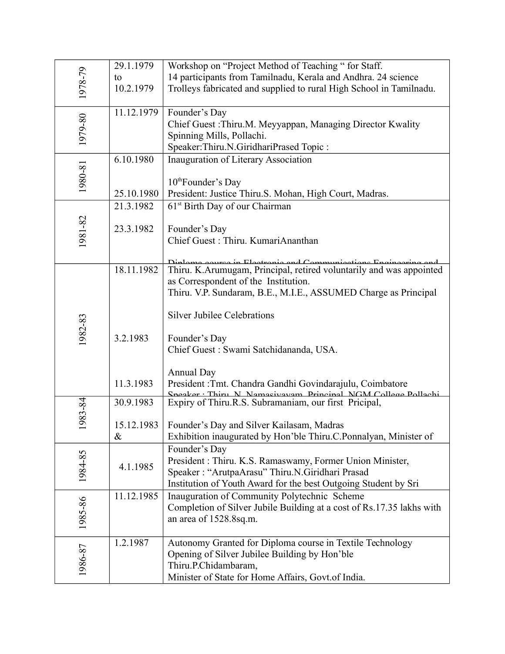|         | 29.1.1979  | Workshop on "Project Method of Teaching " for Staff.                                                                                   |
|---------|------------|----------------------------------------------------------------------------------------------------------------------------------------|
| 1978-79 | to         | 14 participants from Tamilnadu, Kerala and Andhra. 24 science                                                                          |
|         | 10.2.1979  | Trolleys fabricated and supplied to rural High School in Tamilnadu.                                                                    |
|         |            |                                                                                                                                        |
|         | 11.12.1979 | Founder's Day                                                                                                                          |
| 1979-80 |            | Chief Guest : Thiru.M. Meyyappan, Managing Director Kwality                                                                            |
|         |            | Spinning Mills, Pollachi.                                                                                                              |
|         |            | Speaker:Thiru.N.GiridhariPrased Topic:                                                                                                 |
|         | 6.10.1980  | Inauguration of Literary Association                                                                                                   |
| 1980-81 |            |                                                                                                                                        |
|         |            | 10 <sup>th</sup> Founder's Day                                                                                                         |
|         | 25.10.1980 | President: Justice Thiru.S. Mohan, High Court, Madras.                                                                                 |
|         | 21.3.1982  | 61 <sup>st</sup> Birth Day of our Chairman                                                                                             |
|         |            |                                                                                                                                        |
|         | 23.3.1982  | Founder's Day                                                                                                                          |
| 1981-82 |            | Chief Guest: Thiru. KumariAnanthan                                                                                                     |
|         |            |                                                                                                                                        |
|         | 18.11.1982 | Diplamo gaurea in Electronic and Communications Engineering and<br>Thiru. K.Arumugam, Principal, retired voluntarily and was appointed |
|         |            | as Correspondent of the Institution.                                                                                                   |
|         |            | Thiru. V.P. Sundaram, B.E., M.I.E., ASSUMED Charge as Principal                                                                        |
|         |            |                                                                                                                                        |
|         |            | <b>Silver Jubilee Celebrations</b>                                                                                                     |
| 1982-83 |            |                                                                                                                                        |
|         | 3.2.1983   | Founder's Day                                                                                                                          |
|         |            | Chief Guest : Swami Satchidananda, USA.                                                                                                |
|         |            |                                                                                                                                        |
|         |            | <b>Annual Day</b>                                                                                                                      |
|         | 11.3.1983  | President : Tmt. Chandra Gandhi Govindarajulu, Coimbatore                                                                              |
|         | 30.9.1983  | Sneaker Thiru N Namasiyayam Princinal NGM College Pollachi<br>Expiry of Thiru.R.S. Subramaniam, our first Pricipal,                    |
| 983-84  |            |                                                                                                                                        |
|         | 15.12.1983 | Founder's Day and Silver Kailasam, Madras                                                                                              |
|         | $\&$       | Exhibition inaugurated by Hon'ble Thiru.C.Ponnalyan, Minister of                                                                       |
|         |            | Founder's Day                                                                                                                          |
| 1984-85 |            | President : Thiru. K.S. Ramaswamy, Former Union Minister,                                                                              |
|         | 4.1.1985   | Speaker: "ArutpaArasu" Thiru.N.Giridhari Prasad                                                                                        |
|         |            | Institution of Youth Award for the best Outgoing Student by Sri                                                                        |
|         | 11.12.1985 | Inauguration of Community Polytechnic Scheme                                                                                           |
|         |            | Completion of Silver Jubile Building at a cost of Rs.17.35 lakhs with                                                                  |
| 1985-86 |            | an area of 1528.8sq.m.                                                                                                                 |
|         |            |                                                                                                                                        |
|         | 1.2.1987   | Autonomy Granted for Diploma course in Textile Technology                                                                              |
| 1986-87 |            | Opening of Silver Jubilee Building by Hon'ble                                                                                          |
|         |            | Thiru.P.Chidambaram,                                                                                                                   |
|         |            | Minister of State for Home Affairs, Govt.of India.                                                                                     |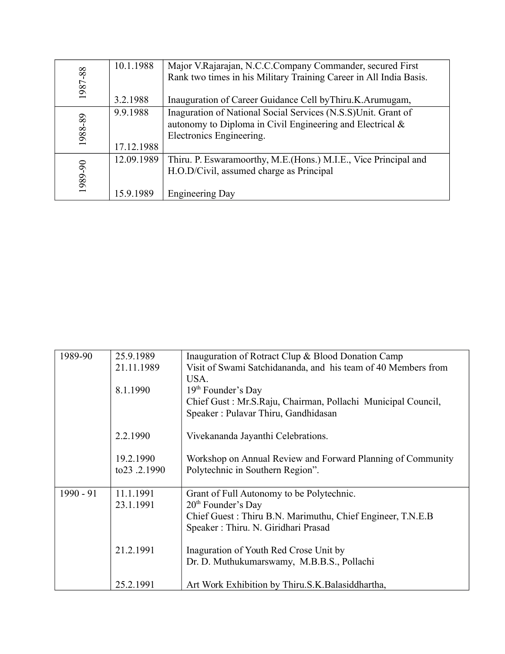|         | 10.1.1988  | Major V.Rajarajan, N.C.C.Company Commander, secured First          |
|---------|------------|--------------------------------------------------------------------|
| 1987-88 |            | Rank two times in his Military Training Career in All India Basis. |
|         |            |                                                                    |
|         | 3.2.1988   | Inauguration of Career Guidance Cell by Thiru.K.Arumugam,          |
|         | 9.9.1988   | Inaguration of National Social Services (N.S.S) Unit. Grant of     |
| 1988-89 |            | autonomy to Diploma in Civil Engineering and Electrical $\&$       |
|         |            | Electronics Engineering.                                           |
|         | 17.12.1988 |                                                                    |
|         | 12.09.1989 | Thiru. P. Eswaramoorthy, M.E. (Hons.) M.I.E., Vice Principal and   |
|         |            | H.O.D/Civil, assumed charge as Principal                           |
| 1989-90 |            |                                                                    |
|         | 15.9.1989  | <b>Engineering Day</b>                                             |

| 1989-90     | 25.9.1989     | Inauguration of Rotract Clup & Blood Donation Camp            |
|-------------|---------------|---------------------------------------------------------------|
|             | 21.11.1989    | Visit of Swami Satchidananda, and his team of 40 Members from |
|             |               | USA.                                                          |
|             | 8.1.1990      | 19 <sup>th</sup> Founder's Day                                |
|             |               | Chief Gust: Mr.S.Raju, Chairman, Pollachi Municipal Council,  |
|             |               | Speaker: Pulavar Thiru, Gandhidasan                           |
|             | 2.2.1990      | Vivekananda Jayanthi Celebrations.                            |
|             |               |                                                               |
|             | 19.2.1990     | Workshop on Annual Review and Forward Planning of Community   |
|             | to 23 .2.1990 | Polytechnic in Southern Region".                              |
| $1990 - 91$ | 11.1.1991     | Grant of Full Autonomy to be Polytechnic.                     |
|             | 23.1.1991     | 20 <sup>th</sup> Founder's Day                                |
|             |               | Chief Guest: Thiru B.N. Marimuthu, Chief Engineer, T.N.E.B    |
|             |               | Speaker: Thiru. N. Giridhari Prasad                           |
|             |               |                                                               |
|             | 21.2.1991     | Inaguration of Youth Red Crose Unit by                        |
|             |               | Dr. D. Muthukumarswamy, M.B.B.S., Pollachi                    |
|             | 25.2.1991     | Art Work Exhibition by Thiru.S.K. Balasiddhartha,             |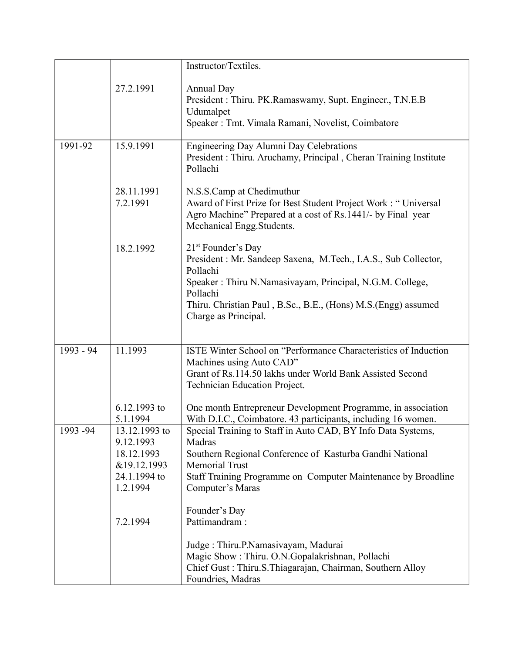|           |                                                                                     | Instructor/Textiles.                                                                                                                                                                                                                                                 |
|-----------|-------------------------------------------------------------------------------------|----------------------------------------------------------------------------------------------------------------------------------------------------------------------------------------------------------------------------------------------------------------------|
|           | 27.2.1991                                                                           | <b>Annual Day</b><br>President: Thiru. PK.Ramaswamy, Supt. Engineer., T.N.E.B<br>Udumalpet<br>Speaker : Tmt. Vimala Ramani, Novelist, Coimbatore                                                                                                                     |
| 1991-92   | 15.9.1991                                                                           | Engineering Day Alumni Day Celebrations<br>President: Thiru. Aruchamy, Principal, Cheran Training Institute<br>Pollachi                                                                                                                                              |
|           | 28.11.1991<br>7.2.1991                                                              | N.S.S.Camp at Chedimuthur<br>Award of First Prize for Best Student Project Work : "Universal<br>Agro Machine" Prepared at a cost of Rs.1441/- by Final year<br>Mechanical Engg.Students.                                                                             |
|           | 18.2.1992                                                                           | $21st$ Founder's Day<br>President : Mr. Sandeep Saxena, M.Tech., I.A.S., Sub Collector,<br>Pollachi<br>Speaker: Thiru N.Namasivayam, Principal, N.G.M. College,<br>Pollachi<br>Thiru. Christian Paul, B.Sc., B.E., (Hons) M.S.(Engg) assumed<br>Charge as Principal. |
| 1993 - 94 | 11.1993<br>6.12.1993 to                                                             | ISTE Winter School on "Performance Characteristics of Induction<br>Machines using Auto CAD"<br>Grant of Rs.114.50 lakhs under World Bank Assisted Second<br>Technician Education Project.<br>One month Entrepreneur Development Programme, in association            |
|           | 5.1.1994                                                                            | With D.I.C., Coimbatore. 43 participants, including 16 women.                                                                                                                                                                                                        |
| 1993-94   | 13.12.1993 to<br>9.12.1993<br>18.12.1993<br>&19.12.1993<br>24.1.1994 to<br>1.2.1994 | Special Training to Staff in Auto CAD, BY Info Data Systems,<br>Madras<br>Southern Regional Conference of Kasturba Gandhi National<br><b>Memorial Trust</b><br>Staff Training Programme on Computer Maintenance by Broadline<br>Computer's Maras                     |
|           | 7.2.1994                                                                            | Founder's Day<br>Pattimandram:<br>Judge: Thiru.P.Namasivayam, Madurai<br>Magic Show: Thiru. O.N.Gopalakrishnan, Pollachi<br>Chief Gust: Thiru.S.Thiagarajan, Chairman, Southern Alloy                                                                                |
|           |                                                                                     | Foundries, Madras                                                                                                                                                                                                                                                    |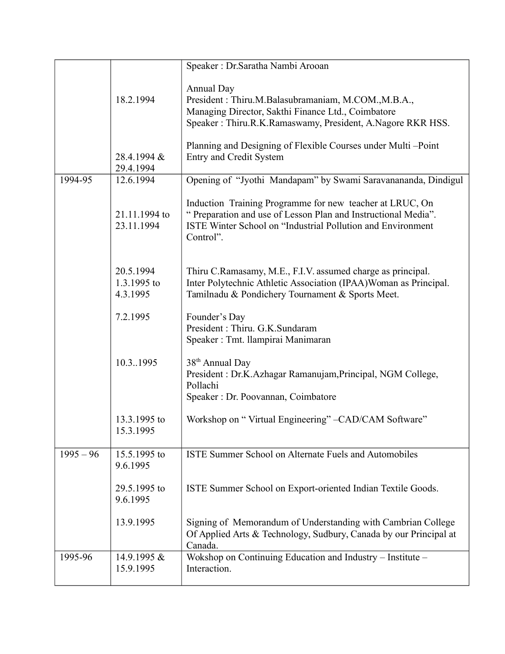|             |                             | Speaker: Dr.Saratha Nambi Arooan                                                                                                                                                                      |
|-------------|-----------------------------|-------------------------------------------------------------------------------------------------------------------------------------------------------------------------------------------------------|
|             |                             | <b>Annual Day</b>                                                                                                                                                                                     |
|             | 18.2.1994                   | President: Thiru.M.Balasubramaniam, M.COM., M.B.A.,                                                                                                                                                   |
|             |                             | Managing Director, Sakthi Finance Ltd., Coimbatore                                                                                                                                                    |
|             |                             | Speaker: Thiru.R.K.Ramaswamy, President, A.Nagore RKR HSS.                                                                                                                                            |
|             |                             | Planning and Designing of Flexible Courses under Multi-Point                                                                                                                                          |
|             | 28.4.1994 &<br>29.4.1994    | <b>Entry and Credit System</b>                                                                                                                                                                        |
| 1994-95     | 12.6.1994                   | Opening of "Jyothi Mandapam" by Swami Saravanananda, Dindigul                                                                                                                                         |
|             | 21.11.1994 to<br>23.11.1994 | Induction Training Programme for new teacher at LRUC, On<br>"Preparation and use of Lesson Plan and Instructional Media".<br>ISTE Winter School on "Industrial Pollution and Environment<br>Control". |
|             | 20.5.1994                   | Thiru C.Ramasamy, M.E., F.I.V. assumed charge as principal.                                                                                                                                           |
|             | 1.3.1995 to<br>4.3.1995     | Inter Polytechnic Athletic Association (IPAA)Woman as Principal.<br>Tamilnadu & Pondichery Tournament & Sports Meet.                                                                                  |
|             | 7.2.1995                    | Founder's Day<br>President : Thiru. G.K.Sundaram<br>Speaker: Tmt. llampirai Manimaran                                                                                                                 |
|             | 10.3.1995                   | 38 <sup>th</sup> Annual Day<br>President : Dr.K.Azhagar Ramanujam,Principal, NGM College,<br>Pollachi<br>Speaker: Dr. Poovannan, Coimbatore                                                           |
|             | 13.3.1995 to<br>15.3.1995   | Workshop on "Virtual Engineering" -CAD/CAM Software"                                                                                                                                                  |
| $1995 - 96$ | 15.5.1995 to<br>9.6.1995    | ISTE Summer School on Alternate Fuels and Automobiles                                                                                                                                                 |
|             | 29.5.1995 to<br>9.6.1995    | ISTE Summer School on Export-oriented Indian Textile Goods.                                                                                                                                           |
|             | 13.9.1995                   | Signing of Memorandum of Understanding with Cambrian College<br>Of Applied Arts & Technology, Sudbury, Canada by our Principal at<br>Canada.                                                          |
| 1995-96     | 14.9.1995 &<br>15.9.1995    | Wokshop on Continuing Education and Industry – Institute –<br>Interaction.                                                                                                                            |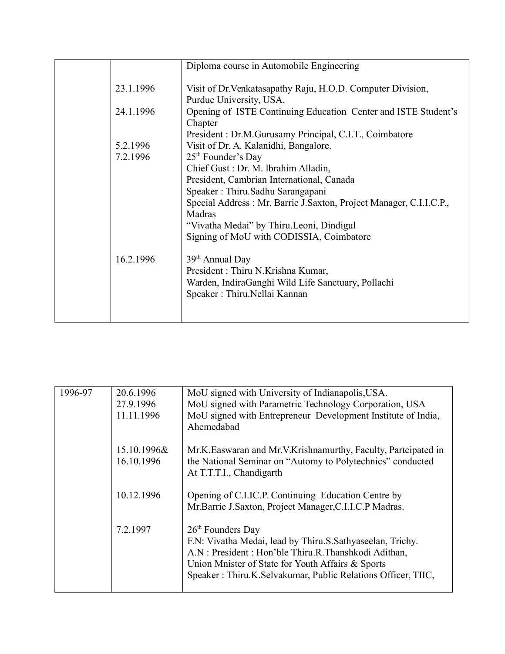|           | Diploma course in Automobile Engineering                                               |
|-----------|----------------------------------------------------------------------------------------|
| 23.1.1996 | Visit of Dr. Venkatasapathy Raju, H.O.D. Computer Division,<br>Purdue University, USA. |
| 24.1.1996 | Opening of ISTE Continuing Education Center and ISTE Student's<br>Chapter              |
|           | President: Dr.M.Gurusamy Principal, C.I.T., Coimbatore                                 |
| 5.2.1996  | Visit of Dr. A. Kalanidhi, Bangalore.                                                  |
| 7.2.1996  | $25th$ Founder's Day                                                                   |
|           | Chief Gust : Dr. M. Ibrahim Alladin,                                                   |
|           | President, Cambrian International, Canada                                              |
|           | Speaker: Thiru.Sadhu Sarangapani                                                       |
|           | Special Address: Mr. Barrie J. Saxton, Project Manager, C.I.I.C.P.,<br>Madras          |
|           | "Vivatha Medai" by Thiru.Leoni, Dindigul                                               |
|           | Signing of MoU with CODISSIA, Coimbatore                                               |
| 16.2.1996 | 39 <sup>th</sup> Annual Day                                                            |
|           | President: Thiru N.Krishna Kumar,                                                      |
|           | Warden, IndiraGanghi Wild Life Sanctuary, Pollachi<br>Speaker: Thiru.Nellai Kannan     |
|           |                                                                                        |

| 20.6.1996   | MoU signed with University of Indianapolis, USA.                |
|-------------|-----------------------------------------------------------------|
| 27.9.1996   | MoU signed with Parametric Technology Corporation, USA          |
| 11.11.1996  | MoU signed with Entrepreneur Development Institute of India,    |
|             | Ahemedabad                                                      |
| 15.10.1996& | Mr.K. Easwaran and Mr.V. Krishnamurthy, Faculty, Partcipated in |
|             | the National Seminar on "Automy to Polytechnics" conducted      |
|             | At T.T.T.I., Chandigarth                                        |
| 10.12.1996  | Opening of C.I.IC.P. Continuing Education Centre by             |
|             | Mr.Barrie J.Saxton, Project Manager, C.I.I.C.P Madras.          |
| 7.2.1997    | $26th$ Founders Day                                             |
|             | F.N: Vivatha Medai, lead by Thiru.S.Sathyaseelan, Trichy.       |
|             | A.N: President: Hon'ble Thiru.R.Thanshkodi Adithan,             |
|             | Union Mnister of State for Youth Affairs & Sports               |
|             | Speaker: Thiru.K.Selvakumar, Public Relations Officer, TIIC,    |
|             | 16.10.1996                                                      |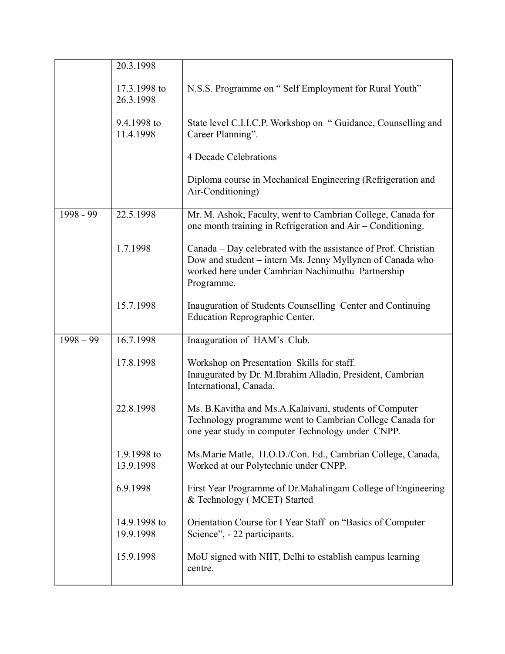|             | 20.3.1998                 |                                                                                                                                                                                                |
|-------------|---------------------------|------------------------------------------------------------------------------------------------------------------------------------------------------------------------------------------------|
|             | 17.3.1998 to<br>26.3.1998 | N.S.S. Programme on "Self Employment for Rural Youth"                                                                                                                                          |
|             | 9.4.1998 to<br>11.4.1998  | State level C.I.I.C.P. Workshop on "Guidance, Counselling and<br>Career Planning".                                                                                                             |
|             |                           | 4 Decade Celebrations                                                                                                                                                                          |
|             |                           | Diploma course in Mechanical Engineering (Refrigeration and<br>Air-Conditioning)                                                                                                               |
| 1998 - 99   | 22.5.1998                 | Mr. M. Ashok, Faculty, went to Cambrian College, Canada for<br>one month training in Refrigeration and Air – Conditioning.                                                                     |
|             | 1.7.1998                  | Canada – Day celebrated with the assistance of Prof. Christian<br>Dow and student – intern Ms. Jenny Myllynen of Canada who<br>worked here under Cambrian Nachimuthu Partnership<br>Programme. |
|             | 15.7.1998                 | Inauguration of Students Counselling Center and Continuing<br><b>Education Reprographic Center.</b>                                                                                            |
| $1998 - 99$ | 16.7.1998                 | Inauguration of HAM's Club.                                                                                                                                                                    |
|             | 17.8.1998                 | Workshop on Presentation Skills for staff.<br>Inaugurated by Dr. M.Ibrahim Alladin, President, Cambrian<br>International, Canada.                                                              |
|             | 22.8.1998                 | Ms. B. Kavitha and Ms. A. Kalaivani, students of Computer<br>Technology programme went to Cambrian College Canada for<br>one year study in computer Technology under CNPP.                     |
|             | 1.9.1998 to<br>13.9.1998  | Ms. Marie Matle, H.O.D./Con. Ed., Cambrian College, Canada,<br>Worked at our Polytechnic under CNPP.                                                                                           |
|             | 6.9.1998                  | First Year Programme of Dr. Mahalingam College of Engineering<br>& Technology (MCET) Started                                                                                                   |
|             | 14.9.1998 to<br>19.9.1998 | Orientation Course for I Year Staff on "Basics of Computer"<br>Science", - 22 participants.                                                                                                    |
|             | 15.9.1998                 | MoU signed with NIIT, Delhi to establish campus learning<br>centre.                                                                                                                            |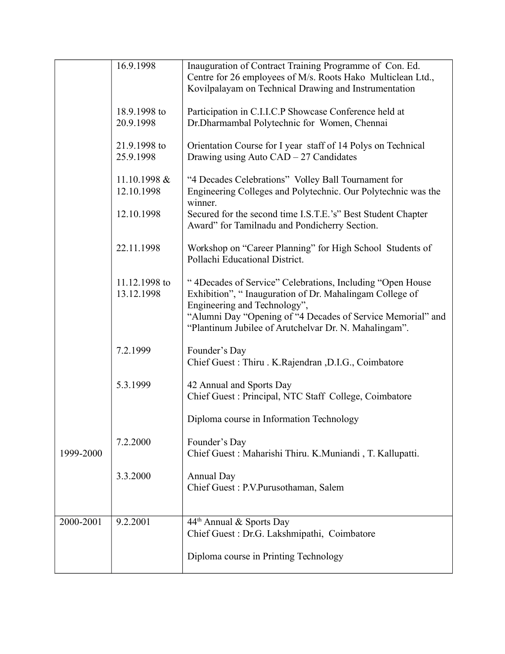|           | 16.9.1998                   | Inauguration of Contract Training Programme of Con. Ed.<br>Centre for 26 employees of M/s. Roots Hako Multiclean Ltd.,<br>Kovilpalayam on Technical Drawing and Instrumentation                                                                                               |
|-----------|-----------------------------|-------------------------------------------------------------------------------------------------------------------------------------------------------------------------------------------------------------------------------------------------------------------------------|
|           | 18.9.1998 to<br>20.9.1998   | Participation in C.I.I.C.P Showcase Conference held at<br>Dr.Dharmambal Polytechnic for Women, Chennai                                                                                                                                                                        |
|           | 21.9.1998 to<br>25.9.1998   | Orientation Course for I year staff of 14 Polys on Technical<br>Drawing using Auto CAD - 27 Candidates                                                                                                                                                                        |
|           | 11.10.1998 &<br>12.10.1998  | "4 Decades Celebrations" Volley Ball Tournament for<br>Engineering Colleges and Polytechnic. Our Polytechnic was the<br>winner.                                                                                                                                               |
|           | 12.10.1998                  | Secured for the second time I.S.T.E.'s" Best Student Chapter<br>Award" for Tamilnadu and Pondicherry Section.                                                                                                                                                                 |
|           | 22.11.1998                  | Workshop on "Career Planning" for High School Students of<br>Pollachi Educational District.                                                                                                                                                                                   |
|           | 11.12.1998 to<br>13.12.1998 | " 4Decades of Service" Celebrations, Including "Open House<br>Exhibition", "Inauguration of Dr. Mahalingam College of<br>Engineering and Technology",<br>"Alumni Day "Opening of "4 Decades of Service Memorial" and<br>"Plantinum Jubilee of Arutchelvar Dr. N. Mahalingam". |
|           | 7.2.1999                    | Founder's Day<br>Chief Guest: Thiru. K.Rajendran, D.I.G., Coimbatore                                                                                                                                                                                                          |
|           | 5.3.1999                    | 42 Annual and Sports Day<br>Chief Guest: Principal, NTC Staff College, Coimbatore                                                                                                                                                                                             |
|           |                             | Diploma course in Information Technology                                                                                                                                                                                                                                      |
| 1999-2000 | 7.2.2000                    | Founder's Day<br>Chief Guest: Maharishi Thiru. K.Muniandi, T. Kallupatti.                                                                                                                                                                                                     |
|           | 3.3.2000                    | <b>Annual Day</b><br>Chief Guest: P.V.Purusothaman, Salem                                                                                                                                                                                                                     |
| 2000-2001 | 9.2.2001                    | 44 <sup>th</sup> Annual & Sports Day<br>Chief Guest : Dr.G. Lakshmipathi, Coimbatore                                                                                                                                                                                          |
|           |                             | Diploma course in Printing Technology                                                                                                                                                                                                                                         |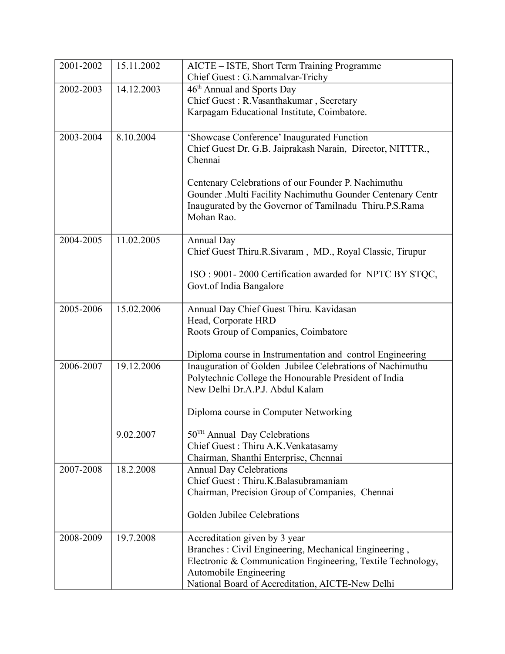| 2001-2002 | 15.11.2002 | AICTE – ISTE, Short Term Training Programme                                   |
|-----------|------------|-------------------------------------------------------------------------------|
|           |            | Chief Guest: G.Nammalvar-Trichy                                               |
| 2002-2003 | 14.12.2003 | 46 <sup>th</sup> Annual and Sports Day                                        |
|           |            | Chief Guest: R.Vasanthakumar, Secretary                                       |
|           |            | Karpagam Educational Institute, Coimbatore.                                   |
|           |            |                                                                               |
| 2003-2004 | 8.10.2004  | 'Showcase Conference' Inaugurated Function                                    |
|           |            | Chief Guest Dr. G.B. Jaiprakash Narain, Director, NITTTR.,                    |
|           |            | Chennai                                                                       |
|           |            |                                                                               |
|           |            | Centenary Celebrations of our Founder P. Nachimuthu                           |
|           |            | Gounder .Multi Facility Nachimuthu Gounder Centenary Centr                    |
|           |            | Inaugurated by the Governor of Tamilnadu Thiru.P.S.Rama                       |
|           |            | Mohan Rao.                                                                    |
| 2004-2005 | 11.02.2005 |                                                                               |
|           |            | <b>Annual Day</b><br>Chief Guest Thiru.R.Sivaram, MD., Royal Classic, Tirupur |
|           |            |                                                                               |
|           |            | ISO: 9001-2000 Certification awarded for NPTC BY STQC,                        |
|           |            | Govt.of India Bangalore                                                       |
|           |            |                                                                               |
| 2005-2006 | 15.02.2006 | Annual Day Chief Guest Thiru. Kavidasan                                       |
|           |            | Head, Corporate HRD                                                           |
|           |            | Roots Group of Companies, Coimbatore                                          |
|           |            |                                                                               |
|           |            | Diploma course in Instrumentation and control Engineering                     |
| 2006-2007 | 19.12.2006 | Inauguration of Golden Jubilee Celebrations of Nachimuthu                     |
|           |            | Polytechnic College the Honourable President of India                         |
|           |            | New Delhi Dr.A.P.J. Abdul Kalam                                               |
|           |            | Diploma course in Computer Networking                                         |
|           |            |                                                                               |
|           | 9.02.2007  | 50 <sup>TH</sup> Annual Day Celebrations                                      |
|           |            | Chief Guest: Thiru A.K. Venkatasamy                                           |
|           |            | Chairman, Shanthi Enterprise, Chennai                                         |
| 2007-2008 | 18.2.2008  | <b>Annual Day Celebrations</b>                                                |
|           |            | Chief Guest: Thiru.K.Balasubramaniam                                          |
|           |            | Chairman, Precision Group of Companies, Chennai                               |
|           |            |                                                                               |
|           |            | Golden Jubilee Celebrations                                                   |
|           |            |                                                                               |
| 2008-2009 | 19.7.2008  | Accreditation given by 3 year                                                 |
|           |            | Branches: Civil Engineering, Mechanical Engineering,                          |
|           |            | Electronic & Communication Engineering, Textile Technology,                   |
|           |            | Automobile Engineering                                                        |
|           |            | National Board of Accreditation, AICTE-New Delhi                              |